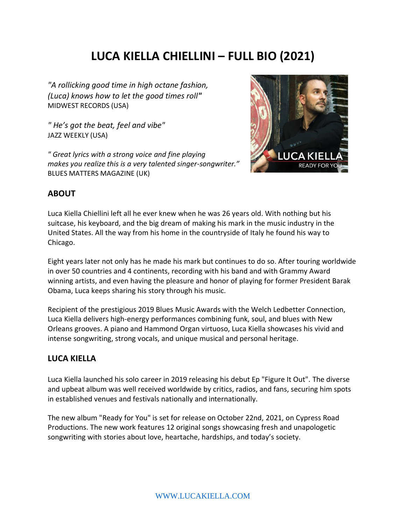# **LUCA KIELLA CHIELLINI – FULL BIO (2021)**

*"A rollicking good time in high octane fashion, (Luca) knows how to let the good times roll"* MIDWEST RECORDS (USA)

*" He's got the beat, feel and vibe"* JAZZ WEEKLY (USA)

*" Great lyrics with a strong voice and fine playing makes you realize this is a very talented singer-songwriter."* BLUES MATTERS MAGAZINE (UK)



### **ABOUT**

Luca Kiella Chiellini left all he ever knew when he was 26 years old. With nothing but his suitcase, his keyboard, and the big dream of making his mark in the music industry in the United States. All the way from his home in the countryside of Italy he found his way to Chicago.

Eight years later not only has he made his mark but continues to do so. After touring worldwide in over 50 countries and 4 continents, recording with his band and with Grammy Award winning artists, and even having the pleasure and honor of playing for former President Barak Obama, Luca keeps sharing his story through his music.

Recipient of the prestigious 2019 Blues Music Awards with the Welch Ledbetter Connection, Luca Kiella delivers high-energy performances combining funk, soul, and blues with New Orleans grooves. A piano and Hammond Organ virtuoso, Luca Kiella showcases his vivid and intense songwriting, strong vocals, and unique musical and personal heritage.

### **LUCA KIELLA**

Luca Kiella launched his solo career in 2019 releasing his debut Ep "Figure It Out". The diverse and upbeat album was well received worldwide by critics, radios, and fans, securing him spots in established venues and festivals nationally and internationally.

The new album "Ready for You" is set for release on October 22nd, 2021, on Cypress Road Productions. The new work features 12 original songs showcasing fresh and unapologetic songwriting with stories about love, heartache, hardships, and today's society.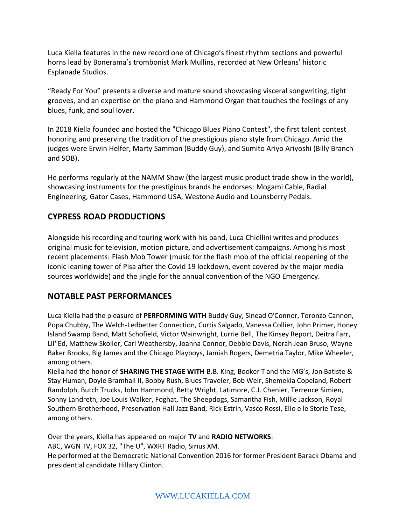Luca Kiella features in the new record one of Chicago's finest rhythm sections and powerful horns lead by Bonerama's trombonist Mark Mullins, recorded at New Orleans' historic Esplanade Studios.

"Ready For You" presents a diverse and mature sound showcasing visceral songwriting, tight grooves, and an expertise on the piano and Hammond Organ that touches the feelings of any blues, funk, and soul lover.

In 2018 Kiella founded and hosted the "Chicago Blues Piano Contest", the first talent contest honoring and preserving the tradition of the prestigious piano style from Chicago. Amid the judges were Erwin Helfer, Marty Sammon (Buddy Guy), and Sumito Ariyo Ariyoshi (Billy Branch and SOB).

He performs regularly at the NAMM Show (the largest music product trade show in the world), showcasing instruments for the prestigious brands he endorses: Mogami Cable, Radial Engineering, Gator Cases, Hammond USA, Westone Audio and Lounsberry Pedals.

# **CYPRESS ROAD PRODUCTIONS**

Alongside his recording and touring work with his band, Luca Chiellini writes and produces original music for television, motion picture, and advertisement campaigns. Among his most recent placements: Flash Mob Tower (music for the flash mob of the official reopening of the iconic leaning tower of Pisa after the Covid 19 lockdown, event covered by the major media sources worldwide) and the jingle for the annual convention of the NGO Emergency.

## **NOTABLE PAST PERFORMANCES**

Luca Kiella had the pleasure of **PERFORMING WITH** Buddy Guy, Sinead O'Connor, Toronzo Cannon, Popa Chubby, The Welch-Ledbetter Connection, Curtis Salgado, Vanessa Collier, John Primer, Honey Island Swamp Band, Matt Schofield, Victor Wainwright, Lurrie Bell, The Kinsey Report, Deitra Farr, Lil' Ed, Matthew Skoller, Carl Weathersby, Joanna Connor, Debbie Davis, Norah Jean Bruso, Wayne Baker Brooks, Big James and the Chicago Playboys, Jamiah Rogers, Demetria Taylor, Mike Wheeler, among others.

Kiella had the honor of **SHARING THE STAGE WITH** B.B. King, Booker T and the MG's, Jon Batiste & Stay Human, Doyle Bramhall II, Bobby Rush, Blues Traveler, Bob Weir, Shemekia Copeland, Robert Randolph, Butch Trucks, John Hammond, Betty Wright, Latimore, C.J. Chenier, Terrence Simien, Sonny Landreth, Joe Louis Walker, Foghat, The Sheepdogs, Samantha Fish, Millie Jackson, Royal Southern Brotherhood, Preservation Hall Jazz Band, Rick Estrin, Vasco Rossi, Elio e le Storie Tese, among others.

Over the years, Kiella has appeared on major **TV** and **RADIO NETWORKS**: ABC, WGN TV, FOX 32, "The U", WXRT Radio, Sirius XM. He performed at the Democratic National Convention 2016 for former President Barack Obama and presidential candidate Hillary Clinton.